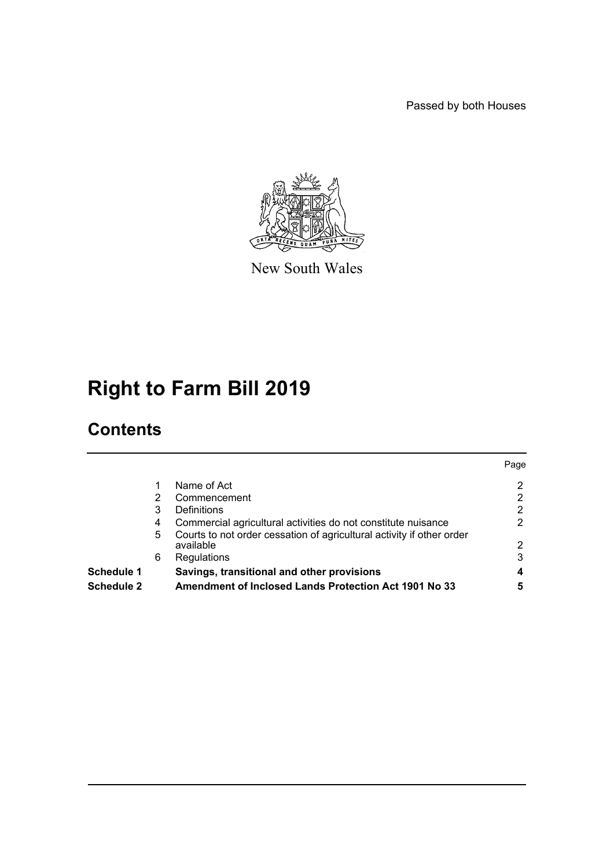Passed by both Houses



New South Wales

# **Right to Farm Bill 2019**

## **Contents**

| <b>Schedule 1</b> | 6  | Regulations<br>Savings, transitional and other provisions                          | 3    |
|-------------------|----|------------------------------------------------------------------------------------|------|
|                   | 5. | Courts to not order cessation of agricultural activity if other order<br>available | 2    |
|                   | 4  | Commercial agricultural activities do not constitute nuisance                      | 2    |
|                   | 3  | Definitions                                                                        | 2    |
|                   | 2  | Commencement                                                                       |      |
|                   |    | Name of Act                                                                        | 2    |
|                   |    |                                                                                    | Page |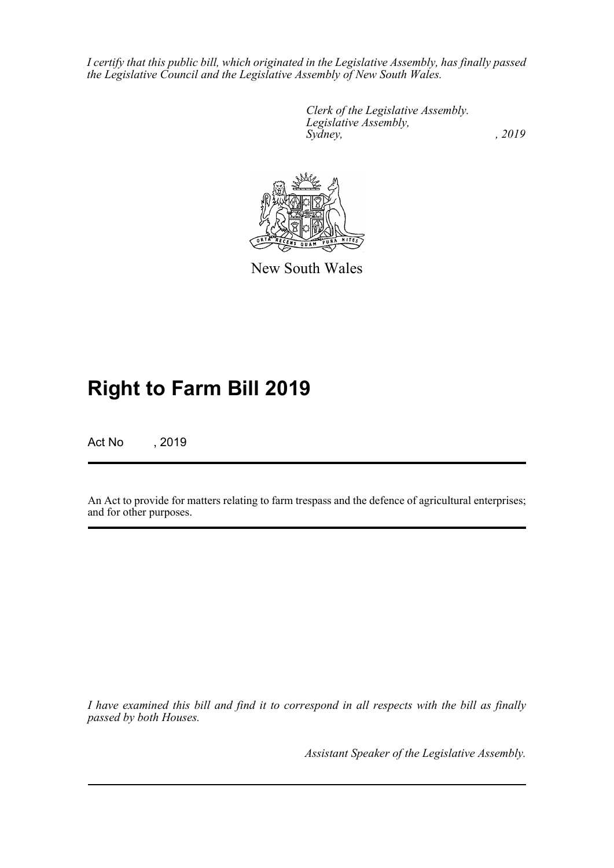*I certify that this public bill, which originated in the Legislative Assembly, has finally passed the Legislative Council and the Legislative Assembly of New South Wales.*

> *Clerk of the Legislative Assembly. Legislative Assembly, Sydney,* , 2019



New South Wales

## **Right to Farm Bill 2019**

Act No , 2019

An Act to provide for matters relating to farm trespass and the defence of agricultural enterprises; and for other purposes.

*I have examined this bill and find it to correspond in all respects with the bill as finally passed by both Houses.*

*Assistant Speaker of the Legislative Assembly.*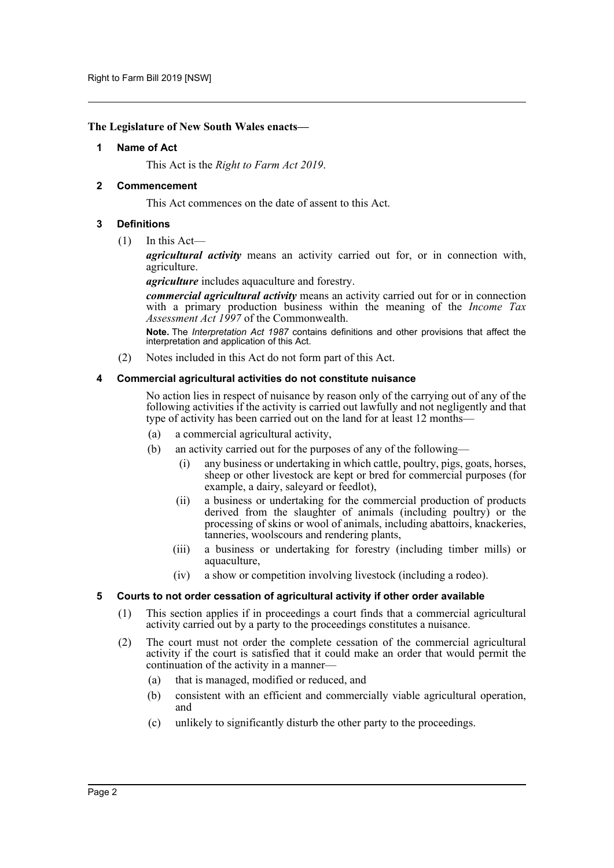### <span id="page-2-0"></span>**The Legislature of New South Wales enacts—**

#### **1 Name of Act**

This Act is the *Right to Farm Act 2019*.

### <span id="page-2-1"></span>**2 Commencement**

This Act commences on the date of assent to this Act.

### <span id="page-2-2"></span>**3 Definitions**

(1) In this Act—

*agricultural activity* means an activity carried out for, or in connection with, agriculture.

*agriculture* includes aquaculture and forestry.

*commercial agricultural activity* means an activity carried out for or in connection with a primary production business within the meaning of the *Income Tax Assessment Act 1997* of the Commonwealth.

**Note.** The *Interpretation Act 1987* contains definitions and other provisions that affect the interpretation and application of this Act.

(2) Notes included in this Act do not form part of this Act.

### <span id="page-2-3"></span>**4 Commercial agricultural activities do not constitute nuisance**

No action lies in respect of nuisance by reason only of the carrying out of any of the following activities if the activity is carried out lawfully and not negligently and that type of activity has been carried out on the land for at least 12 months—

- (a) a commercial agricultural activity,
- (b) an activity carried out for the purposes of any of the following—
	- (i) any business or undertaking in which cattle, poultry, pigs, goats, horses, sheep or other livestock are kept or bred for commercial purposes (for example, a dairy, saleyard or feedlot),
	- (ii) a business or undertaking for the commercial production of products derived from the slaughter of animals (including poultry) or the processing of skins or wool of animals, including abattoirs, knackeries, tanneries, woolscours and rendering plants,
	- (iii) a business or undertaking for forestry (including timber mills) or aquaculture,
	- (iv) a show or competition involving livestock (including a rodeo).

#### <span id="page-2-4"></span>**5 Courts to not order cessation of agricultural activity if other order available**

- (1) This section applies if in proceedings a court finds that a commercial agricultural activity carried out by a party to the proceedings constitutes a nuisance.
- (2) The court must not order the complete cessation of the commercial agricultural activity if the court is satisfied that it could make an order that would permit the continuation of the activity in a manner—
	- (a) that is managed, modified or reduced, and
	- (b) consistent with an efficient and commercially viable agricultural operation, and
	- (c) unlikely to significantly disturb the other party to the proceedings.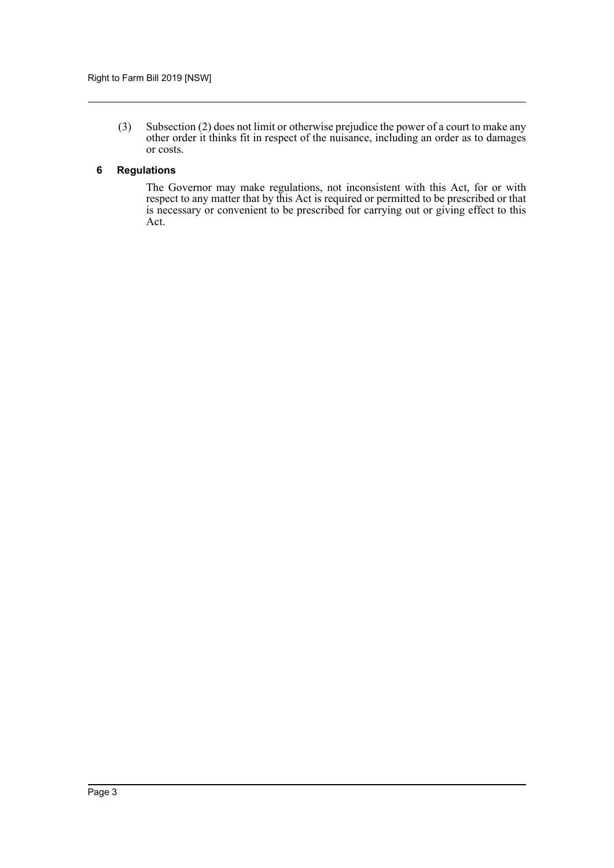(3) Subsection (2) does not limit or otherwise prejudice the power of a court to make any other order it thinks fit in respect of the nuisance, including an order as to damages or costs.

### <span id="page-3-0"></span>**6 Regulations**

The Governor may make regulations, not inconsistent with this Act, for or with respect to any matter that by this Act is required or permitted to be prescribed or that is necessary or convenient to be prescribed for carrying out or giving effect to this Act.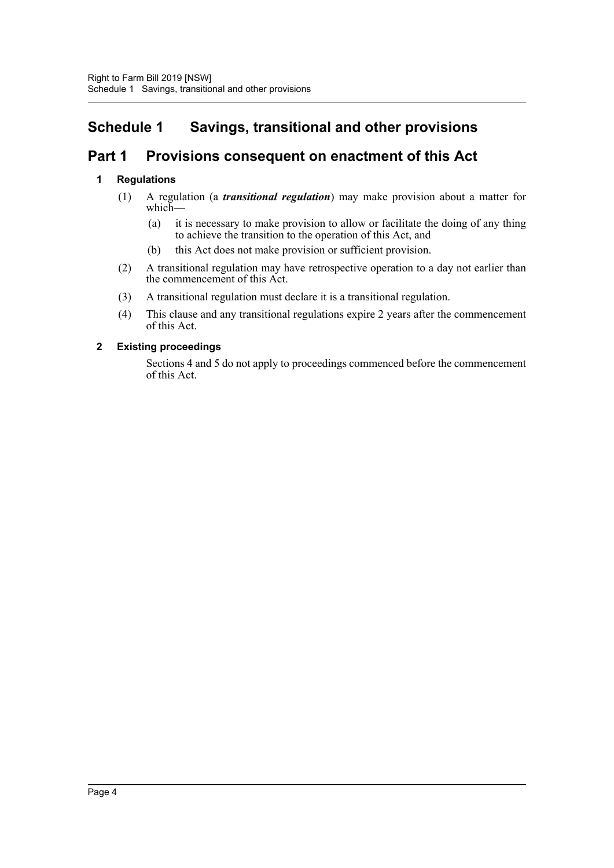### <span id="page-4-0"></span>**Schedule 1 Savings, transitional and other provisions**

### **Part 1 Provisions consequent on enactment of this Act**

### **1 Regulations**

- (1) A regulation (a *transitional regulation*) may make provision about a matter for which—
	- (a) it is necessary to make provision to allow or facilitate the doing of any thing to achieve the transition to the operation of this Act, and
	- (b) this Act does not make provision or sufficient provision.
- (2) A transitional regulation may have retrospective operation to a day not earlier than the commencement of this Act.
- (3) A transitional regulation must declare it is a transitional regulation.
- (4) This clause and any transitional regulations expire 2 years after the commencement of this Act.

### **2 Existing proceedings**

Sections 4 and 5 do not apply to proceedings commenced before the commencement of this Act.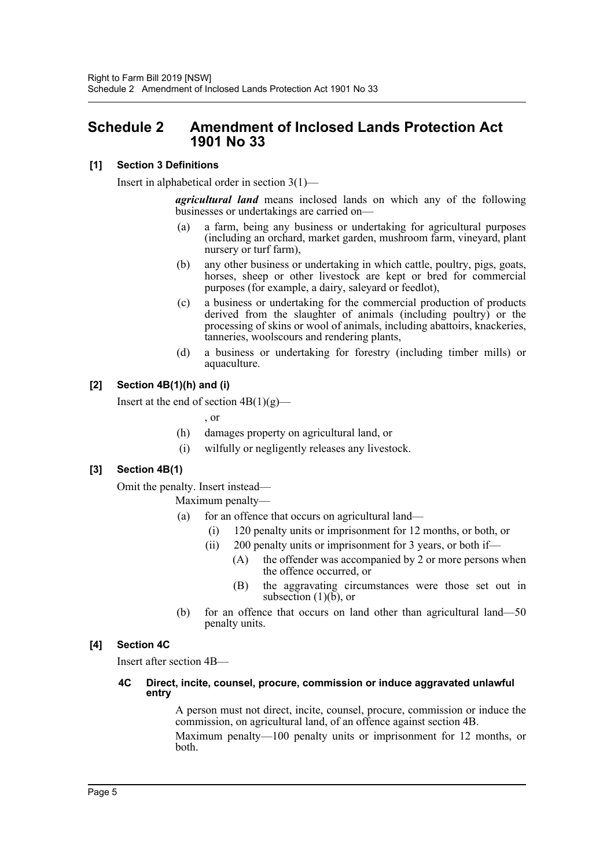### <span id="page-5-0"></span>**Schedule 2 Amendment of Inclosed Lands Protection Act 1901 No 33**

### **[1] Section 3 Definitions**

Insert in alphabetical order in section 3(1)—

*agricultural land* means inclosed lands on which any of the following businesses or undertakings are carried on—

- (a) a farm, being any business or undertaking for agricultural purposes (including an orchard, market garden, mushroom farm, vineyard, plant nursery or turf farm),
- (b) any other business or undertaking in which cattle, poultry, pigs, goats, horses, sheep or other livestock are kept or bred for commercial purposes (for example, a dairy, saleyard or feedlot),
- (c) a business or undertaking for the commercial production of products derived from the slaughter of animals (including poultry) or the processing of skins or wool of animals, including abattoirs, knackeries, tanneries, woolscours and rendering plants,
- (d) a business or undertaking for forestry (including timber mills) or aquaculture.

### **[2] Section 4B(1)(h) and (i)**

Insert at the end of section  $4B(1)(g)$ —

, or

- (h) damages property on agricultural land, or
- (i) wilfully or negligently releases any livestock.

### **[3] Section 4B(1)**

Omit the penalty. Insert instead—

Maximum penalty—

- (a) for an offence that occurs on agricultural land—
	- (i) 120 penalty units or imprisonment for 12 months, or both, or
	- (ii) 200 penalty units or imprisonment for 3 years, or both if—
		- (A) the offender was accompanied by 2 or more persons when the offence occurred, or
			- (B) the aggravating circumstances were those set out in subsection  $(1)(\bar{b})$ , or
- (b) for an offence that occurs on land other than agricultural land—50 penalty units.

### **[4] Section 4C**

Insert after section 4B—

### **4C Direct, incite, counsel, procure, commission or induce aggravated unlawful entry**

A person must not direct, incite, counsel, procure, commission or induce the commission, on agricultural land, of an offence against section 4B.

Maximum penalty—100 penalty units or imprisonment for 12 months, or both.